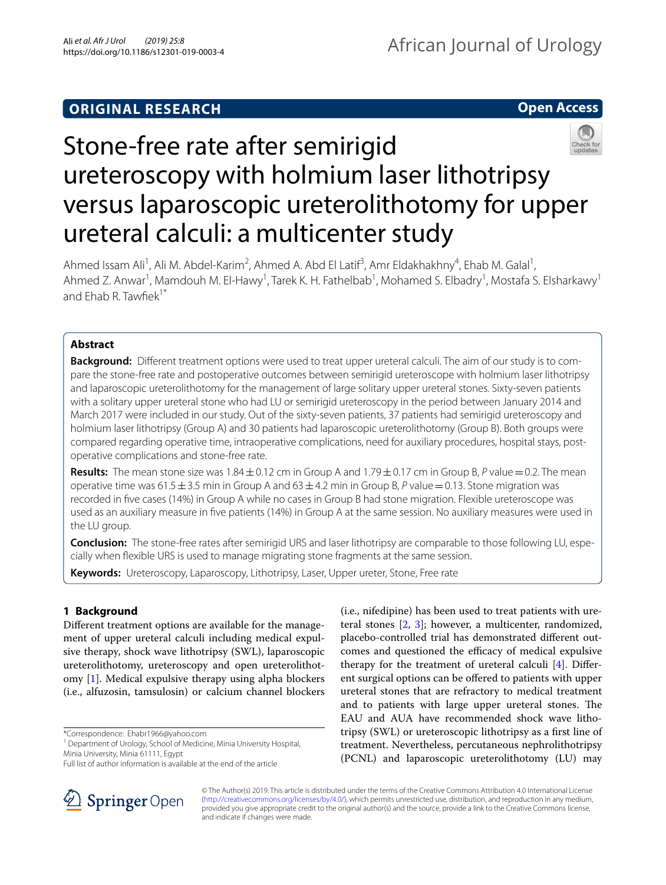# **ORIGINAL RESEARCH**



# Stone-free rate after semirigid ureteroscopy with holmium laser lithotripsy versus laparoscopic ureterolithotomy for upper ureteral calculi: a multicenter study

Ahmed Issam Ali<sup>1</sup>, Ali M. Abdel-Karim<sup>2</sup>, Ahmed A. Abd El Latif<sup>3</sup>, Amr Eldakhakhny<sup>4</sup>, Ehab M. Galal<sup>1</sup>, Ahmed Z. Anwar<sup>1</sup>, Mamdouh M. El-Hawy<sup>1</sup>, Tarek K. H. Fathelbab<sup>1</sup>, Mohamed S. Elbadry<sup>1</sup>, Mostafa S. Elsharkawy<sup>1</sup> and  $F$ hab R. Tawfiek<sup>1\*</sup>

## **Abstract**

**Background:** Different treatment options were used to treat upper ureteral calculi. The aim of our study is to compare the stone-free rate and postoperative outcomes between semirigid ureteroscope with holmium laser lithotripsy and laparoscopic ureterolithotomy for the management of large solitary upper ureteral stones. Sixty-seven patients with a solitary upper ureteral stone who had LU or semirigid ureteroscopy in the period between January 2014 and March 2017 were included in our study. Out of the sixty-seven patients, 37 patients had semirigid ureteroscopy and holmium laser lithotripsy (Group A) and 30 patients had laparoscopic ureterolithotomy (Group B). Both groups were compared regarding operative time, intraoperative complications, need for auxiliary procedures, hospital stays, postoperative complications and stone-free rate.

**Results:** The mean stone size was  $1.84 \pm 0.12$  cm in Group A and  $1.79 \pm 0.17$  cm in Group B, P value = 0.2. The mean operative time was 61.5  $\pm$  3.5 min in Group A and 63 $\pm$  4.2 min in Group B, P value = 0.13. Stone migration was recorded in fve cases (14%) in Group A while no cases in Group B had stone migration. Flexible ureteroscope was used as an auxiliary measure in fve patients (14%) in Group A at the same session. No auxiliary measures were used in the LU group.

**Conclusion:** The stone-free rates after semirigid URS and laser lithotripsy are comparable to those following LU, especially when fexible URS is used to manage migrating stone fragments at the same session.

**Keywords:** Ureteroscopy, Laparoscopy, Lithotripsy, Laser, Upper ureter, Stone, Free rate

# **1 Background**

Diferent treatment options are available for the management of upper ureteral calculi including medical expulsive therapy, shock wave lithotripsy (SWL), laparoscopic ureterolithotomy, ureteroscopy and open ureterolithotomy [[1\]](#page-5-0). Medical expulsive therapy using alpha blockers (i.e., alfuzosin, tamsulosin) or calcium channel blockers

\*Correspondence: Ehabr1966@yahoo.com

<sup>1</sup> Department of Urology, School of Medicine, Minia University Hospital, Minia University, Minia 61111, Egypt





© The Author(s) 2019. This article is distributed under the terms of the Creative Commons Attribution 4.0 International License [\(http://creativecommons.org/licenses/by/4.0/\)](http://creativecommons.org/licenses/by/4.0/), which permits unrestricted use, distribution, and reproduction in any medium, provided you give appropriate credit to the original author(s) and the source, provide a link to the Creative Commons license, and indicate if changes were made.

Full list of author information is available at the end of the article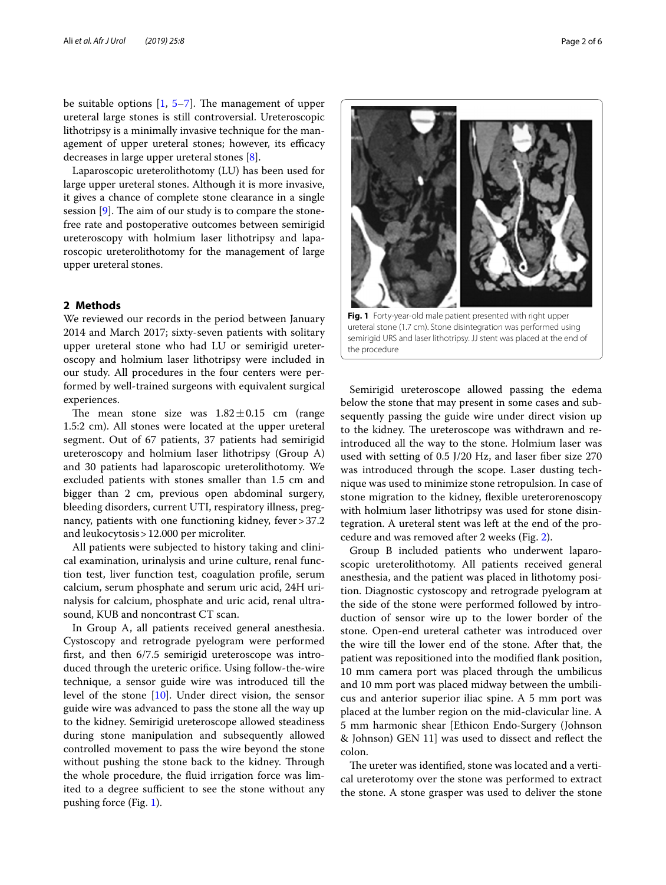be suitable options  $[1, 5-7]$  $[1, 5-7]$  $[1, 5-7]$ . The management of upper ureteral large stones is still controversial. Ureteroscopic lithotripsy is a minimally invasive technique for the management of upper ureteral stones; however, its efficacy decreases in large upper ureteral stones [\[8\]](#page-5-6).

Laparoscopic ureterolithotomy (LU) has been used for large upper ureteral stones. Although it is more invasive, it gives a chance of complete stone clearance in a single session  $[9]$  $[9]$  $[9]$ . The aim of our study is to compare the stonefree rate and postoperative outcomes between semirigid ureteroscopy with holmium laser lithotripsy and laparoscopic ureterolithotomy for the management of large upper ureteral stones.

#### **2 Methods**

We reviewed our records in the period between January 2014 and March 2017; sixty-seven patients with solitary upper ureteral stone who had LU or semirigid ureteroscopy and holmium laser lithotripsy were included in our study. All procedures in the four centers were performed by well-trained surgeons with equivalent surgical experiences.

The mean stone size was  $1.82 \pm 0.15$  cm (range 1.5:2 cm). All stones were located at the upper ureteral segment. Out of 67 patients, 37 patients had semirigid ureteroscopy and holmium laser lithotripsy (Group A) and 30 patients had laparoscopic ureterolithotomy. We excluded patients with stones smaller than 1.5 cm and bigger than 2 cm, previous open abdominal surgery, bleeding disorders, current UTI, respiratory illness, pregnancy, patients with one functioning kidney, fever > 37.2 and leukocytosis>12.000 per microliter.

All patients were subjected to history taking and clinical examination, urinalysis and urine culture, renal function test, liver function test, coagulation profle, serum calcium, serum phosphate and serum uric acid, 24H urinalysis for calcium, phosphate and uric acid, renal ultrasound, KUB and noncontrast CT scan.

In Group A, all patients received general anesthesia. Cystoscopy and retrograde pyelogram were performed frst, and then 6/7.5 semirigid ureteroscope was introduced through the ureteric orifce. Using follow-the-wire technique, a sensor guide wire was introduced till the level of the stone [\[10](#page-5-8)]. Under direct vision, the sensor guide wire was advanced to pass the stone all the way up to the kidney. Semirigid ureteroscope allowed steadiness during stone manipulation and subsequently allowed controlled movement to pass the wire beyond the stone without pushing the stone back to the kidney. Through the whole procedure, the fuid irrigation force was limited to a degree sufficient to see the stone without any pushing force (Fig. [1\)](#page-1-0).



<span id="page-1-0"></span>**Fig. 1** Forty-year-old male patient presented with right upper ureteral stone (1.7 cm). Stone disintegration was performed using semirigid URS and laser lithotripsy. JJ stent was placed at the end of the procedure

Semirigid ureteroscope allowed passing the edema below the stone that may present in some cases and subsequently passing the guide wire under direct vision up to the kidney. The ureteroscope was withdrawn and reintroduced all the way to the stone. Holmium laser was used with setting of 0.5 J/20 Hz, and laser fber size 270 was introduced through the scope. Laser dusting technique was used to minimize stone retropulsion. In case of stone migration to the kidney, fexible ureterorenoscopy with holmium laser lithotripsy was used for stone disintegration. A ureteral stent was left at the end of the procedure and was removed after 2 weeks (Fig. [2\)](#page-2-0).

Group B included patients who underwent laparoscopic ureterolithotomy. All patients received general anesthesia, and the patient was placed in lithotomy position. Diagnostic cystoscopy and retrograde pyelogram at the side of the stone were performed followed by introduction of sensor wire up to the lower border of the stone. Open-end ureteral catheter was introduced over the wire till the lower end of the stone. After that, the patient was repositioned into the modifed fank position, 10 mm camera port was placed through the umbilicus and 10 mm port was placed midway between the umbilicus and anterior superior iliac spine. A 5 mm port was placed at the lumber region on the mid-clavicular line. A 5 mm harmonic shear [Ethicon Endo-Surgery (Johnson & Johnson) GEN 11] was used to dissect and refect the colon.

The ureter was identified, stone was located and a vertical ureterotomy over the stone was performed to extract the stone. A stone grasper was used to deliver the stone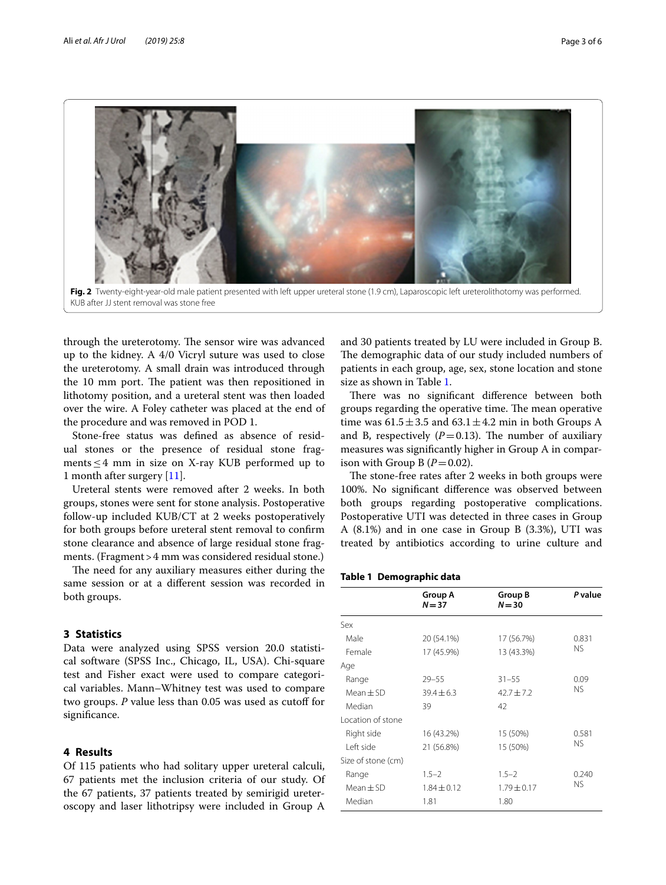

<span id="page-2-0"></span>through the ureterotomy. The sensor wire was advanced up to the kidney. A 4/0 Vicryl suture was used to close the ureterotomy. A small drain was introduced through the 10 mm port. The patient was then repositioned in lithotomy position, and a ureteral stent was then loaded over the wire. A Foley catheter was placed at the end of the procedure and was removed in POD 1.

Stone-free status was defned as absence of residual stones or the presence of residual stone fragments≤4 mm in size on X-ray KUB performed up to 1 month after surgery [[11\]](#page-5-9).

Ureteral stents were removed after 2 weeks. In both groups, stones were sent for stone analysis. Postoperative follow-up included KUB/CT at 2 weeks postoperatively for both groups before ureteral stent removal to confrm stone clearance and absence of large residual stone fragments. (Fragment > 4 mm was considered residual stone.)

The need for any auxiliary measures either during the same session or at a diferent session was recorded in both groups.

### **3 Statistics**

Data were analyzed using SPSS version 20.0 statistical software (SPSS Inc., Chicago, IL, USA). Chi-square test and Fisher exact were used to compare categorical variables. Mann–Whitney test was used to compare two groups. *P* value less than 0.05 was used as cutoff for signifcance.

#### **4 Results**

Of 115 patients who had solitary upper ureteral calculi, 67 patients met the inclusion criteria of our study. Of the 67 patients, 37 patients treated by semirigid ureteroscopy and laser lithotripsy were included in Group A

and 30 patients treated by LU were included in Group B. The demographic data of our study included numbers of patients in each group, age, sex, stone location and stone size as shown in Table [1.](#page-2-1)

There was no significant difference between both groups regarding the operative time. The mean operative time was  $61.5 \pm 3.5$  and  $63.1 \pm 4.2$  min in both Groups A and B, respectively  $(P=0.13)$ . The number of auxiliary measures was signifcantly higher in Group A in comparison with Group B  $(P=0.02)$ .

The stone-free rates after 2 weeks in both groups were 100%. No signifcant diference was observed between both groups regarding postoperative complications. Postoperative UTI was detected in three cases in Group A (8.1%) and in one case in Group B (3.3%), UTI was treated by antibiotics according to urine culture and

#### <span id="page-2-1"></span>**Table 1 Demographic data**

|                    | Group A<br>$N = 37$ | <b>Group B</b><br>$N = 30$ | P value   |
|--------------------|---------------------|----------------------------|-----------|
| Sex                |                     |                            |           |
| Male               | 20 (54.1%)          | 17 (56.7%)                 | 0.831     |
|                    |                     |                            | NS.       |
| Female             | 17 (45.9%)          | 13 (43.3%)                 |           |
| Age                |                     |                            |           |
| Range              | $29 - 55$           | $31 - 55$                  | 0.09      |
| $Mean + SD$        | $39.4 \pm 6.3$      | $42.7 \pm 7.2$             | <b>NS</b> |
| Median             | 39                  | 42                         |           |
| Location of stone  |                     |                            |           |
| Right side         | 16 (43.2%)          | 15 (50%)                   | 0.581     |
| I eft side         | 21 (56.8%)          | 15 (50%)                   | NS.       |
| Size of stone (cm) |                     |                            |           |
| Range              | $1.5 - 2$           | $1.5 - 2$                  | 0.240     |
| $Mean + SD$        | $1.84 \pm 0.12$     | $1.79 \pm 0.17$            | <b>NS</b> |
| Median             | 1.81                | 1.80                       |           |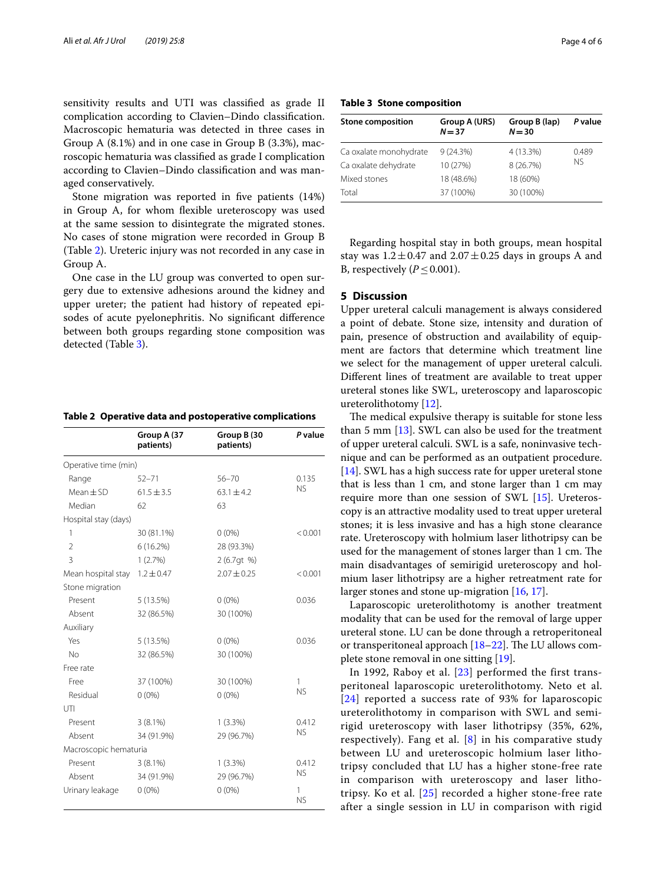sensitivity results and UTI was classifed as grade II complication according to Clavien–Dindo classifcation. Macroscopic hematuria was detected in three cases in Group A (8.1%) and in one case in Group B (3.3%), macroscopic hematuria was classifed as grade I complication according to Clavien–Dindo classifcation and was managed conservatively.

Stone migration was reported in five patients  $(14%)$ in Group A, for whom fexible ureteroscopy was used at the same session to disintegrate the migrated stones. No cases of stone migration were recorded in Group B (Table [2\)](#page-3-0). Ureteric injury was not recorded in any case in Group A.

One case in the LU group was converted to open surgery due to extensive adhesions around the kidney and upper ureter; the patient had history of repeated episodes of acute pyelonephritis. No signifcant diference between both groups regarding stone composition was detected (Table [3\)](#page-3-1).

<span id="page-3-0"></span>

| Table 2 Operative data and postoperative complications |  |
|--------------------------------------------------------|--|
|--------------------------------------------------------|--|

|                       | Group A (37<br>patients) | Group B (30<br>patients) | P value        |
|-----------------------|--------------------------|--------------------------|----------------|
| Operative time (min)  |                          |                          |                |
| Range                 | $52 - 71$                | $56 - 70$                | 0.135          |
| $Mean \pm SD$         | $61.5 \pm 3.5$           | $63.1 \pm 4.2$           | <b>NS</b>      |
| Median                | 62                       | 63                       |                |
| Hospital stay (days)  |                          |                          |                |
| 1                     | 30 (81.1%)               | $0(0\%)$                 | < 0.001        |
| $\overline{2}$        | 6(16.2%)                 | 28 (93.3%)               |                |
| 3                     | 1(2.7%)                  | 2(6.7qt %)               |                |
| Mean hospital stay    | $1.2 \pm 0.47$           | $2.07 \pm 0.25$          | < 0.001        |
| Stone migration       |                          |                          |                |
| Present               | 5 (13.5%)                | $0(0\%)$                 | 0.036          |
| Absent                | 32 (86.5%)               | 30 (100%)                |                |
| Auxiliary             |                          |                          |                |
| Yes                   | 5(13.5%)                 | $0(0\%)$                 | 0.036          |
| No                    | 32 (86.5%)               | 30 (100%)                |                |
| Free rate             |                          |                          |                |
| Free                  | 37 (100%)                | 30 (100%)                | 1              |
| Residual              | $0(0\%)$                 | $0(0\%)$                 | <b>NS</b>      |
| UTI                   |                          |                          |                |
| Present               | $3(8.1\%)$               | $1(3.3\%)$               | 0.412          |
| Absent                | 34 (91.9%)               | 29 (96.7%)               | <b>NS</b>      |
| Macroscopic hematuria |                          |                          |                |
| Present               | $3(8.1\%)$               | 1(3.3%)                  | 0.412          |
| Absent                | 34 (91.9%)               | 29 (96.7%)               | <b>NS</b>      |
| Urinary leakage       | $0(0\%)$                 | $0(0\%)$                 | 1<br><b>NS</b> |

<span id="page-3-1"></span>**Table 3 Stone composition**

| <b>Stone composition</b> | Group A (URS)<br>$N = 37$ | Group B (lap)<br>$N = 30$ | P value            |
|--------------------------|---------------------------|---------------------------|--------------------|
| Ca oxalate monohydrate   | 9(24.3%)                  | 4 (13.3%)                 | 0.489<br><b>NS</b> |
| Ca oxalate dehydrate     | 10 (27%)                  | 8 (26.7%)                 |                    |
| Mixed stones             | 18 (48.6%)                | 18 (60%)                  |                    |
| Total                    | 37 (100%)                 | 30 (100%)                 |                    |

Regarding hospital stay in both groups, mean hospital stay was  $1.2 \pm 0.47$  and  $2.07 \pm 0.25$  days in groups A and B, respectively  $(P \le 0.001)$ .

#### **5 Discussion**

Upper ureteral calculi management is always considered a point of debate. Stone size, intensity and duration of pain, presence of obstruction and availability of equipment are factors that determine which treatment line we select for the management of upper ureteral calculi. Diferent lines of treatment are available to treat upper ureteral stones like SWL, ureteroscopy and laparoscopic ureterolithotomy [\[12\]](#page-5-10).

The medical expulsive therapy is suitable for stone less than 5 mm [\[13\]](#page-5-11). SWL can also be used for the treatment of upper ureteral calculi. SWL is a safe, noninvasive technique and can be performed as an outpatient procedure. [[14\]](#page-5-12). SWL has a high success rate for upper ureteral stone that is less than 1 cm, and stone larger than 1 cm may require more than one session of SWL [[15\]](#page-5-13). Ureteroscopy is an attractive modality used to treat upper ureteral stones; it is less invasive and has a high stone clearance rate. Ureteroscopy with holmium laser lithotripsy can be used for the management of stones larger than 1 cm. The main disadvantages of semirigid ureteroscopy and holmium laser lithotripsy are a higher retreatment rate for larger stones and stone up-migration [[16,](#page-5-14) [17\]](#page-5-15).

Laparoscopic ureterolithotomy is another treatment modality that can be used for the removal of large upper ureteral stone. LU can be done through a retroperitoneal or transperitoneal approach  $[18–22]$  $[18–22]$  $[18–22]$ . The LU allows complete stone removal in one sitting [[19\]](#page-5-18).

In 1992, Raboy et al. [[23\]](#page-5-19) performed the first transperitoneal laparoscopic ureterolithotomy. Neto et al. [[24](#page-5-20)] reported a success rate of 93% for laparoscopic ureterolithotomy in comparison with SWL and semirigid ureteroscopy with laser lithotripsy (35%, 62%, respectively). Fang et al.  $[8]$  $[8]$  in his comparative study between LU and ureteroscopic holmium laser lithotripsy concluded that LU has a higher stone-free rate in comparison with ureteroscopy and laser lithotripsy. Ko et al. [[25](#page-5-21)] recorded a higher stone-free rate after a single session in LU in comparison with rigid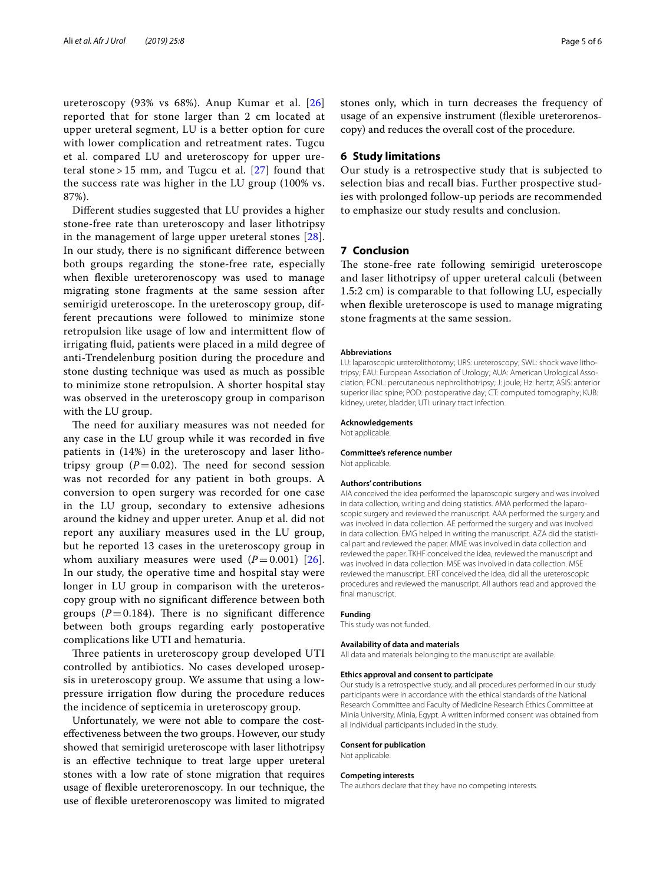ureteroscopy (93% vs 68%). Anup Kumar et al. [[26](#page-5-22)] reported that for stone larger than 2 cm located at upper ureteral segment, LU is a better option for cure with lower complication and retreatment rates. Tugcu et al. compared LU and ureteroscopy for upper ureteral stone > 15 mm, and Tugcu et al.  $[27]$  found that the success rate was higher in the LU group (100% vs. 87%).

Diferent studies suggested that LU provides a higher stone-free rate than ureteroscopy and laser lithotripsy in the management of large upper ureteral stones [[28\]](#page-5-24). In our study, there is no signifcant diference between both groups regarding the stone-free rate, especially when flexible ureterorenoscopy was used to manage migrating stone fragments at the same session after semirigid ureteroscope. In the ureteroscopy group, different precautions were followed to minimize stone retropulsion like usage of low and intermittent fow of irrigating fuid, patients were placed in a mild degree of anti-Trendelenburg position during the procedure and stone dusting technique was used as much as possible to minimize stone retropulsion. A shorter hospital stay was observed in the ureteroscopy group in comparison with the LU group.

The need for auxiliary measures was not needed for any case in the LU group while it was recorded in fve patients in (14%) in the ureteroscopy and laser lithotripsy group  $(P=0.02)$ . The need for second session was not recorded for any patient in both groups. A conversion to open surgery was recorded for one case in the LU group, secondary to extensive adhesions around the kidney and upper ureter. Anup et al. did not report any auxiliary measures used in the LU group, but he reported 13 cases in the ureteroscopy group in whom auxiliary measures were used  $(P=0.001)$  [[26\]](#page-5-22). In our study, the operative time and hospital stay were longer in LU group in comparison with the ureteroscopy group with no signifcant diference between both groups  $(P=0.184)$ . There is no significant difference between both groups regarding early postoperative complications like UTI and hematuria.

Three patients in ureteroscopy group developed UTI controlled by antibiotics. No cases developed urosepsis in ureteroscopy group. We assume that using a lowpressure irrigation flow during the procedure reduces the incidence of septicemia in ureteroscopy group.

Unfortunately, we were not able to compare the costefectiveness between the two groups. However, our study showed that semirigid ureteroscope with laser lithotripsy is an efective technique to treat large upper ureteral stones with a low rate of stone migration that requires usage of fexible ureterorenoscopy. In our technique, the use of fexible ureterorenoscopy was limited to migrated stones only, which in turn decreases the frequency of usage of an expensive instrument (fexible ureterorenoscopy) and reduces the overall cost of the procedure.

#### **6 Study limitations**

Our study is a retrospective study that is subjected to selection bias and recall bias. Further prospective studies with prolonged follow-up periods are recommended to emphasize our study results and conclusion.

#### **7 Conclusion**

The stone-free rate following semirigid ureteroscope and laser lithotripsy of upper ureteral calculi (between 1.5:2 cm) is comparable to that following LU, especially when fexible ureteroscope is used to manage migrating stone fragments at the same session.

#### **Abbreviations**

LU: laparoscopic ureterolithotomy; URS: ureteroscopy; SWL: shock wave lithotripsy; EAU: European Association of Urology; AUA: American Urological Association; PCNL: percutaneous nephrolithotripsy; J: joule; Hz: hertz; ASIS: anterior superior iliac spine; POD: postoperative day; CT: computed tomography; KUB: kidney, ureter, bladder; UTI: urinary tract infection.

#### **Acknowledgements**

Not applicable.

#### **Committee's reference number** Not applicable.

#### **Authors' contributions**

AIA conceived the idea performed the laparoscopic surgery and was involved in data collection, writing and doing statistics. AMA performed the laparoscopic surgery and reviewed the manuscript. AAA performed the surgery and was involved in data collection. AE performed the surgery and was involved in data collection. EMG helped in writing the manuscript. AZA did the statistical part and reviewed the paper. MME was involved in data collection and reviewed the paper. TKHF conceived the idea, reviewed the manuscript and was involved in data collection. MSE was involved in data collection. MSE reviewed the manuscript. ERT conceived the idea, did all the ureteroscopic procedures and reviewed the manuscript. All authors read and approved the final manuscript.

#### **Funding**

This study was not funded.

#### **Availability of data and materials**

All data and materials belonging to the manuscript are available.

#### **Ethics approval and consent to participate**

Our study is a retrospective study, and all procedures performed in our study participants were in accordance with the ethical standards of the National Research Committee and Faculty of Medicine Research Ethics Committee at Minia University, Minia, Egypt. A written informed consent was obtained from all individual participants included in the study.

#### **Consent for publication**

Not applicable.

#### **Competing interests**

The authors declare that they have no competing interests.